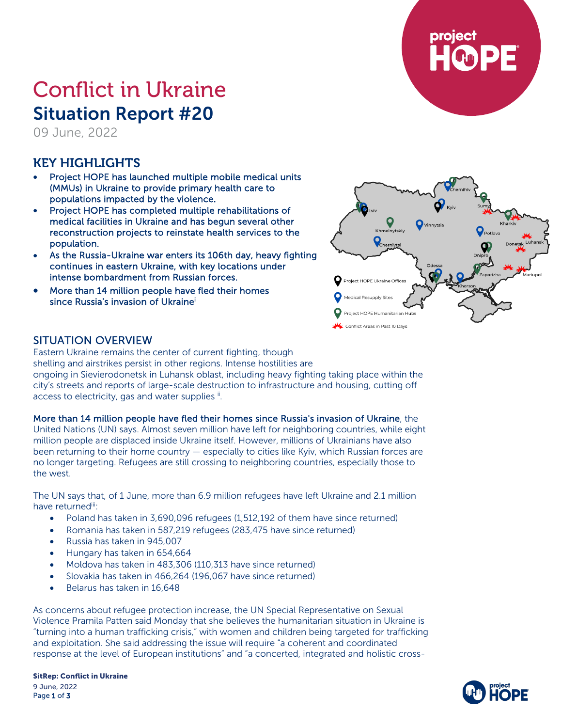

# Conflict in Ukraine Situation Report #20

09 June, 2022

## KEY HIGHLIGHTS

- Project HOPE has launched multiple mobile medical units (MMUs) in Ukraine to provide primary health care to populations impacted by the violence.
- Project HOPE has completed multiple rehabilitations of medical facilities in Ukraine and has begun several other reconstruction projects to reinstate health services to the population.
- As the Russia-Ukraine war enters its 106th day, heavy fighting continues in eastern Ukraine, with key locations under intense bombardment from Russian forces.
- More than 14 million people have fled their homes since Russia's invasion of Ukrainei



## SITUATION OVERVIEW

Eastern Ukraine remains the center of current fighting, though shelling and airstrikes persist in other regions. Intense hostilities are ongoing in Sievierodonetsk in Luhansk oblast, including heavy fighting taking place within the city's streets and reports of large-scale destruction to infrastructure and housing, cutting off access to electricity, gas and water supplies i.

## More than 14 million people have fled their homes since Russia's invasion of Ukraine, the

United Nations (UN) says. Almost seven million have left for neighboring countries, while eight million people are displaced inside Ukraine itself. However, millions of Ukrainians have also been returning to their home country — especially to cities like Kyiv, which Russian forces are no longer targeting. Refugees are still crossing to neighboring countries, especially those to the west.

The UN says that, of 1 June, more than 6.9 million refugees have left Ukraine and 2.1 million have returned<sup>iii</sup>:

- Poland has taken in 3,690,096 refugees (1,512,192 of them have since returned)
- Romania has taken in 587,219 refugees (283,475 have since returned)
- Russia has taken in 945,007
- Hungary has taken in 654,664
- Moldova has taken in 483,306 (110,313 have since returned)
- Slovakia has taken in 466,264 (196,067 have since returned)
- Belarus has taken in 16,648

As concerns about refugee protection increase, the UN Special Representative on Sexual Violence Pramila Patten said Monday that she believes the humanitarian situation in Ukraine is "turning into a human trafficking crisis," with women and children being targeted for trafficking and exploitation. She said addressing the issue will require "a coherent and coordinated response at the level of European institutions" and "a concerted, integrated and holistic cross-

SitRep: Conflict in Ukraine 9 June, 2022 Page 1 of 3

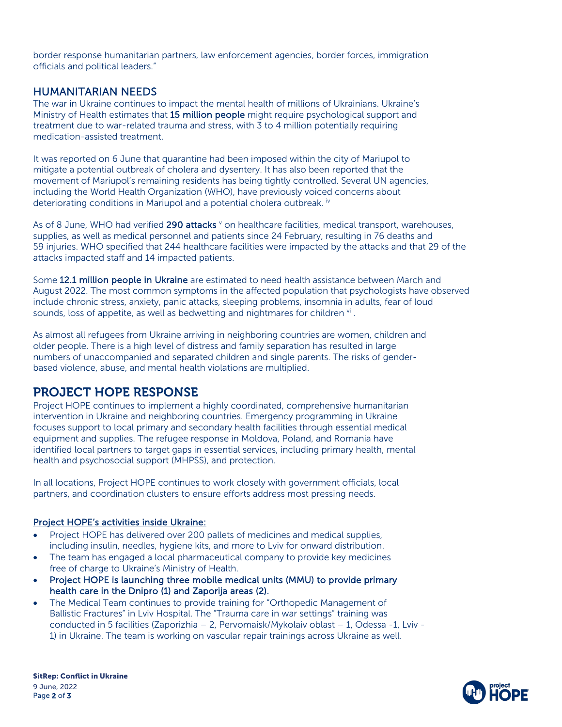border response humanitarian partners, law enforcement agencies, border forces, immigration officials and political leaders."

## HUMANITARIAN NEEDS

The war in Ukraine continues to impact the mental health of millions of Ukrainians. Ukraine's Ministry of Health estimates that 15 million people might require psychological support and treatment due to war-related trauma and stress, with 3 to 4 million potentially requiring medication-assisted treatment.

It was reported on 6 June that quarantine had been imposed within the city of Mariupol to mitigate a potential outbreak of cholera and dysentery. It has also been reported that the movement of Mariupol's remaining residents has being tightly controlled. Several UN agencies, including the World Health Organization (WHO), have previously voiced concerns about deteriorating conditions in Mariupol and a potential cholera outbreak. iv

As of 8 June, WHO had verified 290 attacks <sup>v</sup> on healthcare facilities, medical transport, warehouses, supplies, as well as medical personnel and patients since 24 February, resulting in 76 deaths and 59 injuries. WHO specified that 244 healthcare facilities were impacted by the attacks and that 29 of the attacks impacted staff and 14 impacted patients.

Some 12.1 million people in Ukraine are estimated to need health assistance between March and August 2022. The most common symptoms in the affected population that psychologists have observed include chronic stress, anxiety, panic attacks, sleeping problems, insomnia in adults, fear of loud sounds, loss of appetite, as well as bedwetting and nightmares for children  $\mathbf{v}$ .

As almost all refugees from Ukraine arriving in neighboring countries are women, children and older people. There is a high level of distress and family separation has resulted in large numbers of unaccompanied and separated children and single parents. The risks of genderbased violence, abuse, and mental health violations are multiplied.

## PROJECT HOPE RESPONSE

Project HOPE continues to implement a highly coordinated, comprehensive humanitarian intervention in Ukraine and neighboring countries. Emergency programming in Ukraine focuses support to local primary and secondary health facilities through essential medical equipment and supplies. The refugee response in Moldova, Poland, and Romania have identified local partners to target gaps in essential services, including primary health, mental health and psychosocial support (MHPSS), and protection.

In all locations, Project HOPE continues to work closely with government officials, local partners, and coordination clusters to ensure efforts address most pressing needs.

#### Project HOPE's activities inside Ukraine:

- Project HOPE has delivered over 200 pallets of medicines and medical supplies, including insulin, needles, hygiene kits, and more to Lviv for onward distribution.
- The team has engaged a local pharmaceutical company to provide key medicines free of charge to Ukraine's Ministry of Health.
- Project HOPE is launching three mobile medical units (MMU) to provide primary health care in the Dnipro (1) and Zaporija areas (2).
- The Medical Team continues to provide training for "Orthopedic Management of Ballistic Fractures" in Lviv Hospital. The "Trauma care in war settings" training was conducted in 5 facilities (Zaporizhia – 2, Pervomaisk/Mykolaiv oblast – 1, Odessa -1, Lviv - 1) in Ukraine. The team is working on vascular repair trainings across Ukraine as well.

SitRep: Conflict in Ukraine 9 June, 2022 Page 2 of 3